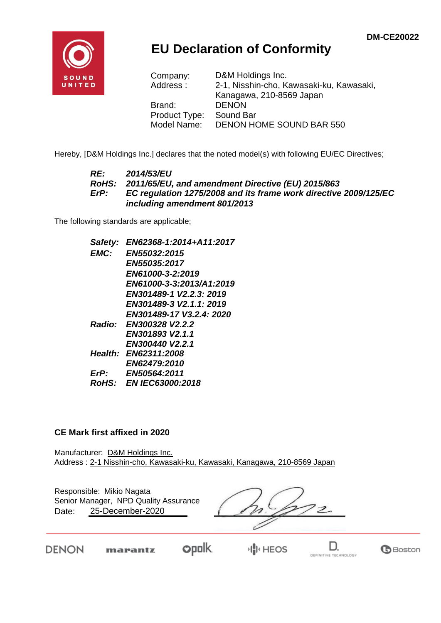**G**Boston

DEFINITIVE TECHNOLOGY



# **EU Declaration of Conformity**

| Company:      | D&M Holdings Inc.                        |
|---------------|------------------------------------------|
| Address:      | 2-1, Nisshin-cho, Kawasaki-ku, Kawasaki, |
|               | Kanagawa, 210-8569 Japan                 |
| Brand:        | <b>DENON</b>                             |
| Product Type: | Sound Bar                                |
| Model Name:   | <b>DENON HOME SOUND BAR 550</b>          |

Hereby, [D&M Holdings Inc.] declares that the noted model(s) with following EU/EC Directives;

### *RE: 2014/53/EU RoHS: 2011/65/EU, and amendment Directive (EU) 2015/863 ErP: EC regulation 1275/2008 and its frame work directive 2009/125/EC including amendment 801/2013*

The following standards are applicable;

*Safety: EN62368-1:2014+A11:2017 EMC: EN55032:2015 EN55035:2017 EN61000-3-2:2019 EN61000-3-3:2013/A1:2019 EN301489-1 V2.2.3: 2019 EN301489-3 V2.1.1: 2019 EN301489-17 V3.2.4: 2020 Radio: EN300328 V2.2.2 EN301893 V2.1.1 EN300440 V2.2.1 Health: EN62311:2008 EN62479:2010 ErP: EN50564:2011 RoHS: EN IEC63000:2018*

### **CE Mark first affixed in 2020**

Manufacturer: D&M Holdings Inc. Address : 2-1 Nisshin-cho, Kawasaki-ku, Kawasaki, Kanagawa, 210-8569 Japan

| Responsible: Mikio Nagata<br>Senior Manager, NPD Quality Assurance<br>25-December-2020<br>Date: |  |  |
|-------------------------------------------------------------------------------------------------|--|--|